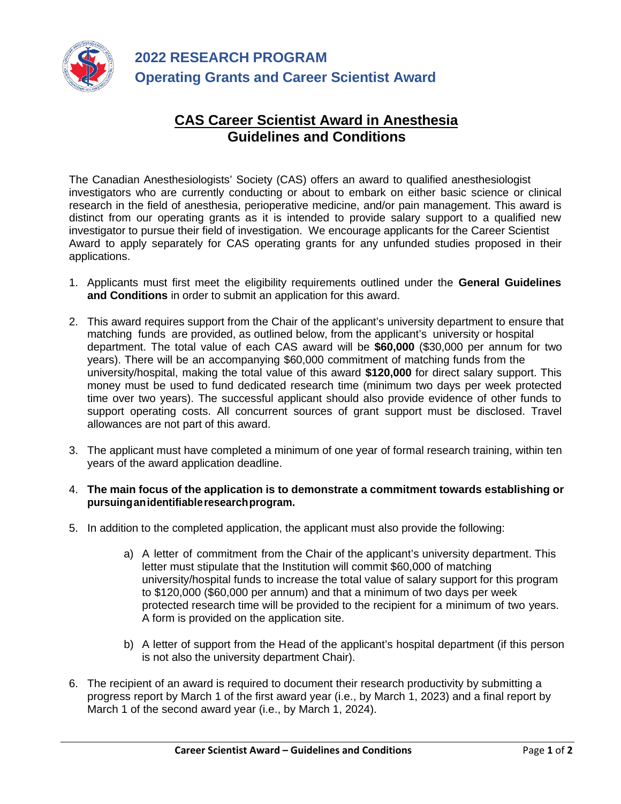

## **CAS Career Scientist Award in Anesthesia Guidelines and Conditions**

The Canadian Anesthesiologists' Society (CAS) offers an award to qualified anesthesiologist investigators who are currently conducting or about to embark on either basic science or clinical research in the field of anesthesia, perioperative medicine, and/or pain management. This award is distinct from our operating grants as it is intended to provide salary support to a qualified new investigator to pursue their field of investigation. We encourage applicants for the Career Scientist Award to apply separately for CAS operating grants for any unfunded studies proposed in their applications.

- 1. Applicants must first meet the eligibility requirements outlined under the **General Guidelines and Conditions** in order to submit an application for this award.
- 2. This award requires support from the Chair of the applicant's university department to ensure that matching funds are provided, as outlined below, from the applicant's university or hospital department. The total value of each CAS award will be **\$60,000** (\$30,000 per annum for two years). There will be an accompanying \$60,000 commitment of matching funds from the university/hospital, making the total value of this award **\$120,000** for direct salary support. This money must be used to fund dedicated research time (minimum two days per week protected time over two years). The successful applicant should also provide evidence of other funds to support operating costs. All concurrent sources of grant support must be disclosed. Travel allowances are not part of this award.
- 3. The applicant must have completed a minimum of one year of formal research training, within ten years of the award application deadline.
- 4. **The main focus of the application is to demonstrate a commitment towards establishing or pursuinganidentifiableresearchprogram.**
- 5. In addition to the completed application, the applicant must also provide the following:
	- a) A letter of commitment from the Chair of the applicant's university department. This letter must stipulate that the Institution will commit \$60,000 of matching university/hospital funds to increase the total value of salary support for this program to \$120,000 (\$60,000 per annum) and that a minimum of two days per week protected research time will be provided to the recipient for a minimum of two years. A form is provided on the application site.
	- b) A letter of support from the Head of the applicant's hospital department (if this person is not also the university department Chair).
- 6. The recipient of an award is required to document their research productivity by submitting a progress report by March 1 of the first award year (i.e., by March 1, 2023) and a final report by March 1 of the second award year (i.e., by March 1, 2024).